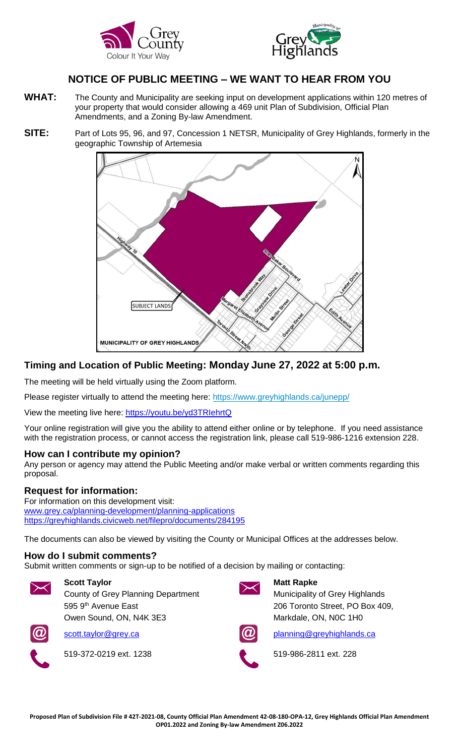



# **NOTICE OF PUBLIC MEETING – WE WANT TO HEAR FROM YOU**

- WHAT: The County and Municipality are seeking input on development applications within 120 metres of your property that would consider allowing a 469 unit Plan of Subdivision, Official Plan Amendments, and a Zoning By-law Amendment.
- **SITE:** Part of Lots 95, 96, and 97, Concession 1 NETSR, Municipality of Grey Highlands, formerly in the geographic Township of Artemesia



### **Timing and Location of Public Meeting: Monday June 27, 2022 at 5:00 p.m.**

The meeting will be held virtually using the Zoom platform.

Please register virtually to attend the meeting here: [https://www.greyhighlands.ca/junepp/](https://can01.safelinks.protection.outlook.com/?url=https%3A%2F%2Fwww.greyhighlands.ca%2Fjunepp%2F&data=05%7C01%7Cderijked%40greyhighlands.ca%7C09f77c392c0d41e765ba08da32b41788%7Ca185a2546058434195e4230ff2ee2cd7%7C0%7C0%7C637878046334976723%7CUnknown%7CTWFpbGZsb3d8eyJWIjoiMC4wLjAwMDAiLCJQIjoiV2luMzIiLCJBTiI6Ik1haWwiLCJXVCI6Mn0%3D%7C3000%7C%7C%7C&sdata=fv3NgfVXXqZWTuUTAky7bFkZI3eE9a4i2bgd0E5r2Gc%3D&reserved=0)

View the meeting live here: [https://youtu.be/yd3TRIehrtQ](https://can01.safelinks.protection.outlook.com/?url=https%3A%2F%2Fyoutu.be%2Fyd3TRIehrtQ&data=05%7C01%7Cderijked%40greyhighlands.ca%7C09f77c392c0d41e765ba08da32b41788%7Ca185a2546058434195e4230ff2ee2cd7%7C0%7C0%7C637878046334976723%7CUnknown%7CTWFpbGZsb3d8eyJWIjoiMC4wLjAwMDAiLCJQIjoiV2luMzIiLCJBTiI6Ik1haWwiLCJXVCI6Mn0%3D%7C3000%7C%7C%7C&sdata=wqPi76DSEYexEWG2YQjxZEiYofA2h2gTVDLVJwk7fEI%3D&reserved=0)

Your online registration will give you the ability to attend either online or by telephone. If you need assistance with the registration process, or cannot access the registration link, please call 519-986-1216 extension 228.

#### **How can I contribute my opinion?**

Any person or agency may attend the Public Meeting and/or make verbal or written comments regarding this proposal.

#### **Request for information:**

For information on this development visit: [www.grey.ca/planning-development/planning-applications](http://www.grey.ca/planning-development/planning-applications) <https://greyhighlands.civicweb.net/filepro/documents/284195>

The documents can also be viewed by visiting the County or Municipal Offices at the addresses below.

#### **How do I submit comments?**

Submit written comments or sign-up to be notified of a decision by mailing or contacting:



**Scott Taylor**  County of Grey Planning Department 595 9<sup>th</sup> Avenue East Owen Sound, ON, N4K 3E3



519-372-0219 ext. 1238 519-986-2811 ext. 228



#### **Matt Rapke**

Municipality of Grey Highlands 206 Toronto Street, PO Box 409, Markdale, ON, N0C 1H0



[scott.taylor@grey.ca](mailto:scott.taylor@grey.ca) [planning@](mailto:rapkem@greyhighlands.ca)greyhighlands.ca

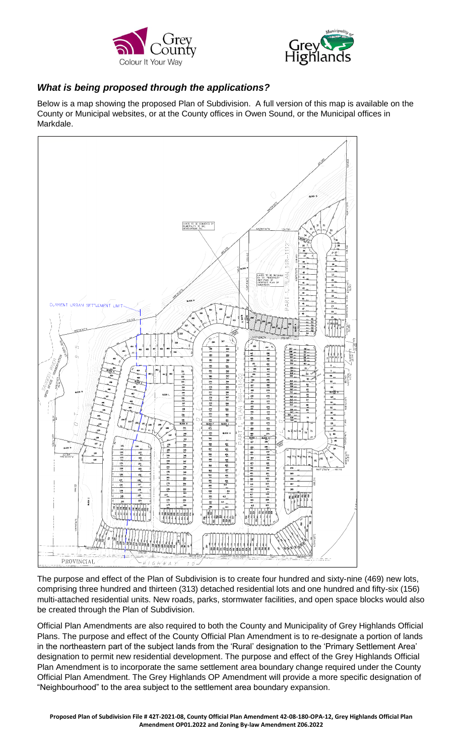



## *What is being proposed through the applications?*

Below is a map showing the proposed Plan of Subdivision. A full version of this map is available on the County or Municipal websites, or at the County offices in Owen Sound, or the Municipal offices in Markdale.



The purpose and effect of the Plan of Subdivision is to create four hundred and sixty-nine (469) new lots, comprising three hundred and thirteen (313) detached residential lots and one hundred and fifty-six (156) multi-attached residential units. New roads, parks, stormwater facilities, and open space blocks would also be created through the Plan of Subdivision.

Official Plan Amendments are also required to both the County and Municipality of Grey Highlands Official Plans. The purpose and effect of the County Official Plan Amendment is to re-designate a portion of lands in the northeastern part of the subject lands from the 'Rural' designation to the 'Primary Settlement Area' designation to permit new residential development. The purpose and effect of the Grey Highlands Official Plan Amendment is to incorporate the same settlement area boundary change required under the County Official Plan Amendment. The Grey Highlands OP Amendment will provide a more specific designation of "Neighbourhood" to the area subject to the settlement area boundary expansion.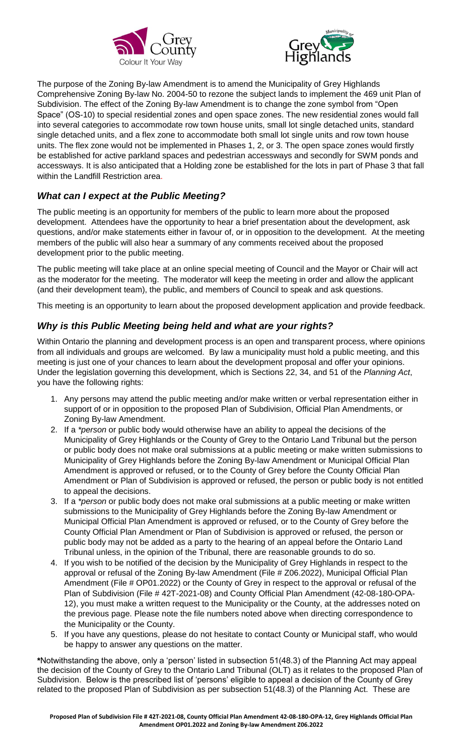



The purpose of the Zoning By-law Amendment is to amend the Municipality of Grey Highlands Comprehensive Zoning By-law No. 2004-50 to rezone the subject lands to implement the 469 unit Plan of Subdivision. The effect of the Zoning By-law Amendment is to change the zone symbol from "Open Space" (OS-10) to special residential zones and open space zones. The new residential zones would fall into several categories to accommodate row town house units, small lot single detached units, standard single detached units, and a flex zone to accommodate both small lot single units and row town house units. The flex zone would not be implemented in Phases 1, 2, or 3. The open space zones would firstly be established for active parkland spaces and pedestrian accessways and secondly for SWM ponds and accessways. It is also anticipated that a Holding zone be established for the lots in part of Phase 3 that fall within the Landfill Restriction area.

## *What can I expect at the Public Meeting?*

The public meeting is an opportunity for members of the public to learn more about the proposed development. Attendees have the opportunity to hear a brief presentation about the development, ask questions, and/or make statements either in favour of, or in opposition to the development. At the meeting members of the public will also hear a summary of any comments received about the proposed development prior to the public meeting.

The public meeting will take place at an online special meeting of Council and the Mayor or Chair will act as the moderator for the meeting. The moderator will keep the meeting in order and allow the applicant (and their development team), the public, and members of Council to speak and ask questions.

This meeting is an opportunity to learn about the proposed development application and provide feedback.

### *Why is this Public Meeting being held and what are your rights?*

Within Ontario the planning and development process is an open and transparent process, where opinions from all individuals and groups are welcomed. By law a municipality must hold a public meeting, and this meeting is just one of your chances to learn about the development proposal and offer your opinions. Under the legislation governing this development, which is Sections 22, 34, and 51 of the *Planning Act*, you have the following rights:

- 1. Any persons may attend the public meeting and/or make written or verbal representation either in support of or in opposition to the proposed Plan of Subdivision, Official Plan Amendments, or Zoning By-law Amendment.
- 2. If a *\*person* or public body would otherwise have an ability to appeal the decisions of the Municipality of Grey Highlands or the County of Grey to the Ontario Land Tribunal but the person or public body does not make oral submissions at a public meeting or make written submissions to Municipality of Grey Highlands before the Zoning By-law Amendment or Municipal Official Plan Amendment is approved or refused, or to the County of Grey before the County Official Plan Amendment or Plan of Subdivision is approved or refused, the person or public body is not entitled to appeal the decisions.
- 3. If a *\*person* or public body does not make oral submissions at a public meeting or make written submissions to the Municipality of Grey Highlands before the Zoning By-law Amendment or Municipal Official Plan Amendment is approved or refused, or to the County of Grey before the County Official Plan Amendment or Plan of Subdivision is approved or refused, the person or public body may not be added as a party to the hearing of an appeal before the Ontario Land Tribunal unless, in the opinion of the Tribunal, there are reasonable grounds to do so.
- 4. If you wish to be notified of the decision by the Municipality of Grey Highlands in respect to the approval or refusal of the Zoning By-law Amendment (File # Z06.2022), Municipal Official Plan Amendment (File # OP01.2022) or the County of Grey in respect to the approval or refusal of the Plan of Subdivision (File # 42T-2021-08) and County Official Plan Amendment (42-08-180-OPA-12), you must make a written request to the Municipality or the County, at the addresses noted on the previous page. Please note the file numbers noted above when directing correspondence to the Municipality or the County.
- 5. If you have any questions, please do not hesitate to contact County or Municipal staff, who would be happy to answer any questions on the matter.

**\***Notwithstanding the above, only a 'person' listed in subsection 51(48.3) of the Planning Act may appeal the decision of the County of Grey to the Ontario Land Tribunal (OLT) as it relates to the proposed Plan of Subdivision. Below is the prescribed list of 'persons' eligible to appeal a decision of the County of Grey related to the proposed Plan of Subdivision as per subsection 51(48.3) of the Planning Act. These are